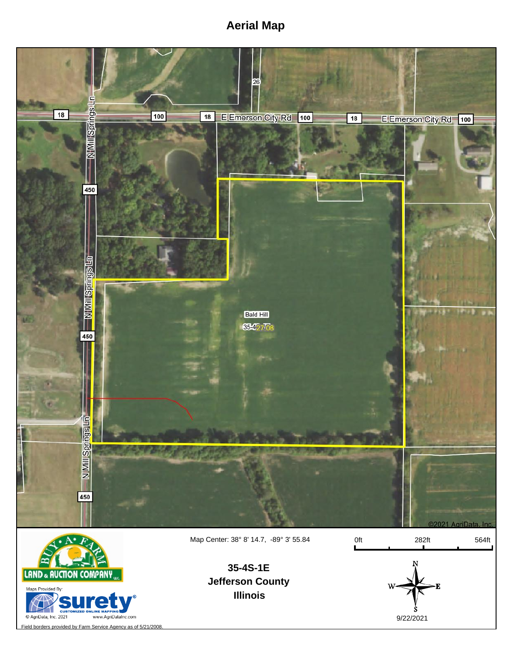## **Aerial Map**



**Illinois**

9/22/2021

Maps F suret C AgriData, Inc. 2021 www.AgriDataInc.com

Field borders provided by Farm Service Agency as of 5/21/2008.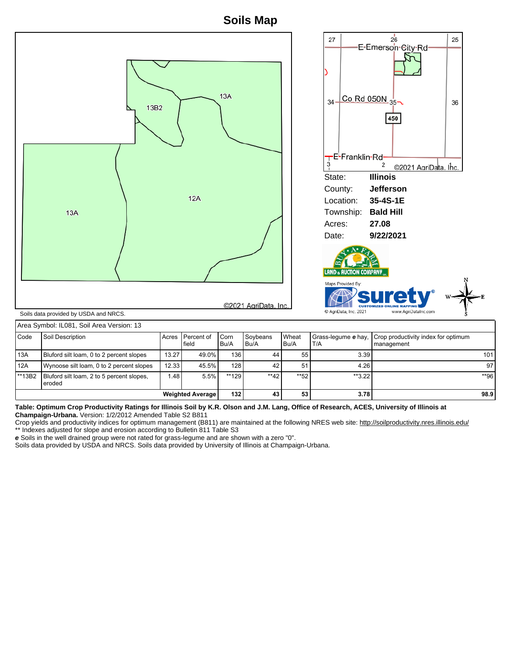## **Soils Map**



| Code                    | Soil Description                                      |       | Acres I Percent of<br>field | Corn<br>Bu/A | <b>S</b> ovbeans<br>'Bu/A | <b>Wheat</b><br>Bu/A | 'T/A    | Grass-lequme e hay, Crop productivity index for optimum<br>I management |
|-------------------------|-------------------------------------------------------|-------|-----------------------------|--------------|---------------------------|----------------------|---------|-------------------------------------------------------------------------|
| 13A                     | Bluford silt loam, 0 to 2 percent slopes              | 13.27 | 49.0%                       | 136          | 44                        | 55                   | 3.39    | 101 <sub>1</sub>                                                        |
| 12A                     | Wynoose silt loam, 0 to 2 percent slopes              | 12.33 | 45.5%                       | 128          | 42                        | -51                  | 4.26    | 97                                                                      |
| **13B2                  | Bluford silt loam, 2 to 5 percent slopes,<br>l eroded | 1.48  | 5.5%                        | **129        | $**42$                    | $*$ 52               | $*3.22$ | $*$ 96                                                                  |
| <b>Weighted Average</b> |                                                       |       |                             | 132          | 43                        | 53                   | 3.78    | 98.9                                                                    |

**Table: Optimum Crop Productivity Ratings for Illinois Soil by K.R. Olson and J.M. Lang, Office of Research, ACES, University of Illinois at Champaign-Urbana.** Version: 1/2/2012 Amended Table S2 B811

Crop yields and productivity indices for optimum management (B811) are maintained at the following NRES web site: http://soilproductivity.nres.illinois.edu/ \*\* Indexes adjusted for slope and erosion according to Bulletin 811 Table S3

**e** Soils in the well drained group were not rated for grass-legume and are shown with a zero "0".

Soils data provided by USDA and NRCS. Soils data provided by University of Illinois at Champaign-Urbana.